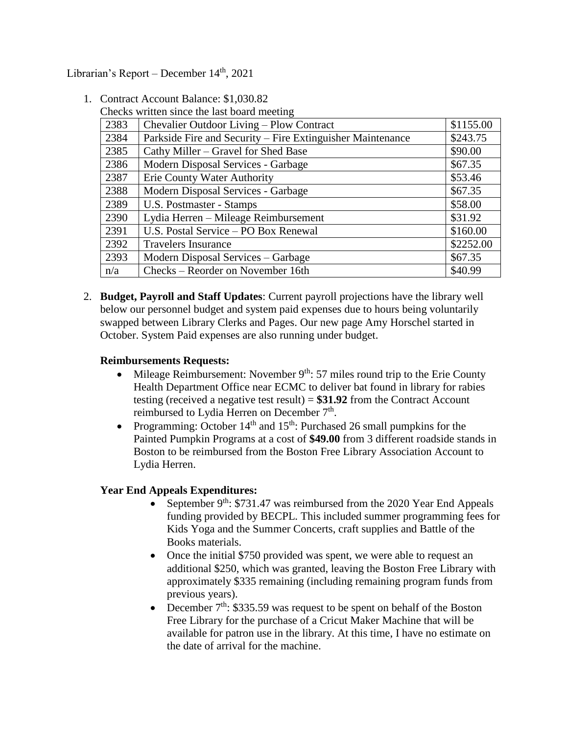Librarian's Report – December 14<sup>th</sup>, 2021

1. Contract Account Balance: \$1,030.82

|  |  |  |  |  | Checks written since the last board meeting |
|--|--|--|--|--|---------------------------------------------|
|--|--|--|--|--|---------------------------------------------|

| 2383 | Chevalier Outdoor Living – Plow Contract                   | \$1155.00 |
|------|------------------------------------------------------------|-----------|
| 2384 | Parkside Fire and Security – Fire Extinguisher Maintenance | \$243.75  |
| 2385 | Cathy Miller – Gravel for Shed Base                        | \$90.00   |
| 2386 | Modern Disposal Services - Garbage                         | \$67.35   |
| 2387 | <b>Erie County Water Authority</b>                         | \$53.46   |
| 2388 | Modern Disposal Services - Garbage                         | \$67.35   |
| 2389 | U.S. Postmaster - Stamps                                   | \$58.00   |
| 2390 | Lydia Herren - Mileage Reimbursement                       | \$31.92   |
| 2391 | U.S. Postal Service - PO Box Renewal                       | \$160.00  |
| 2392 | <b>Travelers Insurance</b>                                 | \$2252.00 |
| 2393 | Modern Disposal Services – Garbage                         | \$67.35   |
| n/a  | Checks – Reorder on November 16th                          | \$40.99   |

2. **Budget, Payroll and Staff Updates**: Current payroll projections have the library well below our personnel budget and system paid expenses due to hours being voluntarily swapped between Library Clerks and Pages. Our new page Amy Horschel started in October. System Paid expenses are also running under budget.

### **Reimbursements Requests:**

- Mileage Reimbursement: November  $9<sup>th</sup>$ : 57 miles round trip to the Erie County Health Department Office near ECMC to deliver bat found in library for rabies testing (received a negative test result) = **\$31.92** from the Contract Account reimbursed to Lydia Herren on December  $7<sup>th</sup>$ .
- Programming: October  $14<sup>th</sup>$  and  $15<sup>th</sup>$ : Purchased 26 small pumpkins for the Painted Pumpkin Programs at a cost of **\$49.00** from 3 different roadside stands in Boston to be reimbursed from the Boston Free Library Association Account to Lydia Herren.

### **Year End Appeals Expenditures:**

- September  $9<sup>th</sup>$ : \$731.47 was reimbursed from the 2020 Year End Appeals funding provided by BECPL. This included summer programming fees for Kids Yoga and the Summer Concerts, craft supplies and Battle of the Books materials.
- Once the initial \$750 provided was spent, we were able to request an additional \$250, which was granted, leaving the Boston Free Library with approximately \$335 remaining (including remaining program funds from previous years).
- December  $7<sup>th</sup>$ : \$335.59 was request to be spent on behalf of the Boston Free Library for the purchase of a Cricut Maker Machine that will be available for patron use in the library. At this time, I have no estimate on the date of arrival for the machine.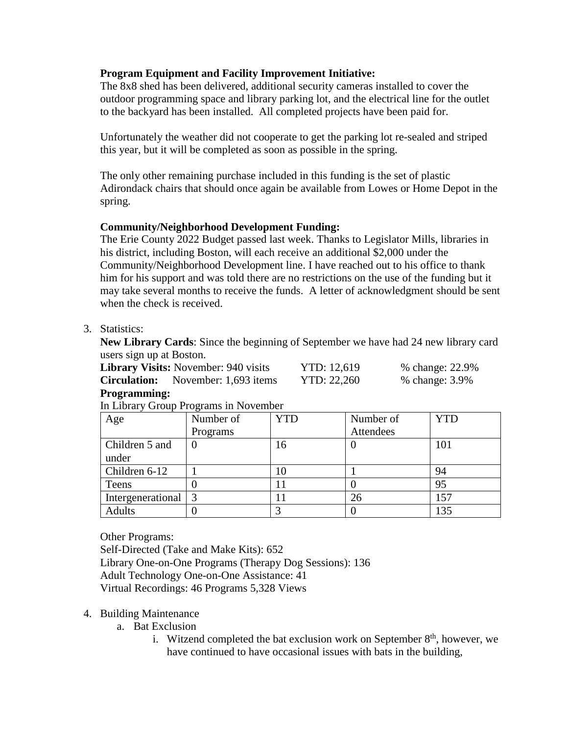## **Program Equipment and Facility Improvement Initiative:**

The 8x8 shed has been delivered, additional security cameras installed to cover the outdoor programming space and library parking lot, and the electrical line for the outlet to the backyard has been installed. All completed projects have been paid for.

Unfortunately the weather did not cooperate to get the parking lot re-sealed and striped this year, but it will be completed as soon as possible in the spring.

The only other remaining purchase included in this funding is the set of plastic Adirondack chairs that should once again be available from Lowes or Home Depot in the spring.

## **Community/Neighborhood Development Funding:**

The Erie County 2022 Budget passed last week. Thanks to Legislator Mills, libraries in his district, including Boston, will each receive an additional \$2,000 under the Community/Neighborhood Development line. I have reached out to his office to thank him for his support and was told there are no restrictions on the use of the funding but it may take several months to receive the funds. A letter of acknowledgment should be sent when the check is received.

# 3. Statistics:

**New Library Cards**: Since the beginning of September we have had 24 new library card users sign up at Boston.

| <b>Library Visits:</b> November: 940 visits | YTD: 12,619 | % change: 22.9% |
|---------------------------------------------|-------------|-----------------|
| <b>Circulation:</b> November: 1,693 items   | YTD: 22,260 | % change: 3.9%  |
|                                             |             |                 |

### **Programming:**

| Age               | Number of | YTD | Number of | <b>YTD</b> |
|-------------------|-----------|-----|-----------|------------|
|                   | Programs  |     | Attendees |            |
| Children 5 and    |           | 16  |           | 101        |
| under             |           |     |           |            |
| Children 6-12     |           | 10  |           | 94         |
| Teens             |           |     |           | 95         |
| Intergenerational |           |     | 26        | 157        |
| <b>Adults</b>     |           |     |           | 135        |

## In Library Group Programs in November

Other Programs:

Self-Directed (Take and Make Kits): 652 Library One-on-One Programs (Therapy Dog Sessions): 136 Adult Technology One-on-One Assistance: 41 Virtual Recordings: 46 Programs 5,328 Views

## 4. Building Maintenance

- a. Bat Exclusion
	- i. Witzend completed the bat exclusion work on September  $8<sup>th</sup>$ , however, we have continued to have occasional issues with bats in the building,